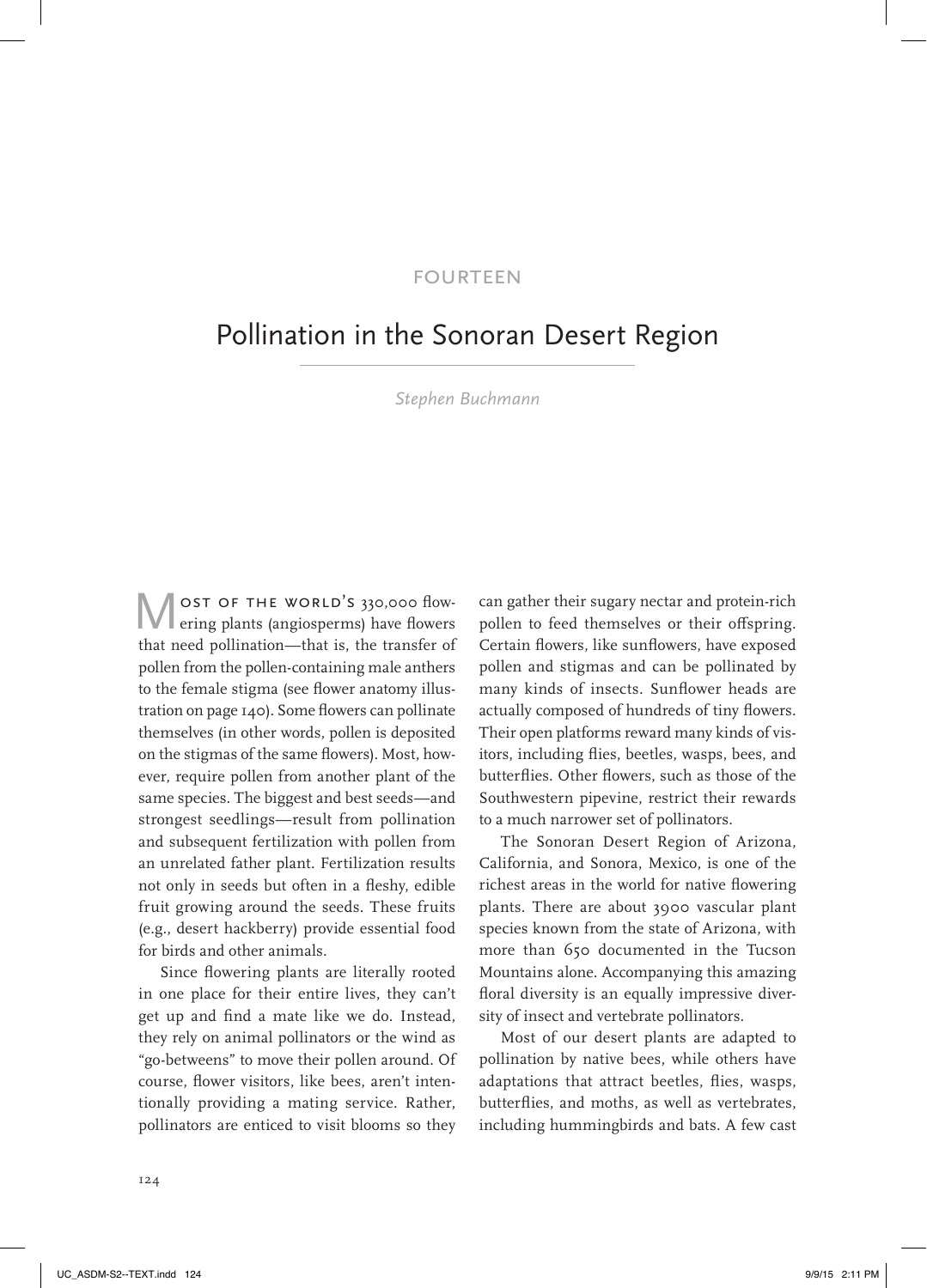## **FOURTEEN**

# Pollination in the Sonoran Desert Region

*Stephen Buchmann*

OST OF THE WORLD'S 330,000 flowering plants (angiosperms) have flowers that need pollination—that is, the transfer of pollen from the pollen-containing male anthers to the female stigma (see flower anatomy illustration on page 140). Some flowers can pollinate themselves (in other words, pollen is deposited on the stigmas of the same flowers). Most, however, require pollen from another plant of the same species. The biggest and best seeds—and strongest seedlings—result from pollination and subsequent fertilization with pollen from an unrelated father plant. Fertilization results not only in seeds but often in a fleshy, edible fruit growing around the seeds. These fruits (e.g., desert hackberry) provide essential food for birds and other animals.

Since flowering plants are literally rooted in one place for their entire lives, they can't get up and find a mate like we do. Instead, they rely on animal pollinators or the wind as "go-betweens" to move their pollen around. Of course, flower visitors, like bees, aren't intentionally providing a mating service. Rather, pollinators are enticed to visit blooms so they

can gather their sugary nectar and protein-rich pollen to feed themselves or their offspring. Certain flowers, like sunflowers, have exposed pollen and stigmas and can be pollinated by many kinds of insects. Sunflower heads are actually composed of hundreds of tiny flowers. Their open platforms reward many kinds of visitors, including flies, beetles, wasps, bees, and butterflies. Other flowers, such as those of the Southwestern pipevine, restrict their rewards to a much narrower set of pollinators.

The Sonoran Desert Region of Arizona, California, and Sonora, Mexico, is one of the richest areas in the world for native flowering plants. There are about 3900 vascular plant species known from the state of Arizona, with more than 650 documented in the Tucson Mountains alone. Accompanying this amazing floral diversity is an equally impressive diversity of insect and vertebrate pollinators.

Most of our desert plants are adapted to pollination by native bees, while others have adaptations that attract beetles, flies, wasps, butterflies, and moths, as well as vertebrates, including hummingbirds and bats. A few cast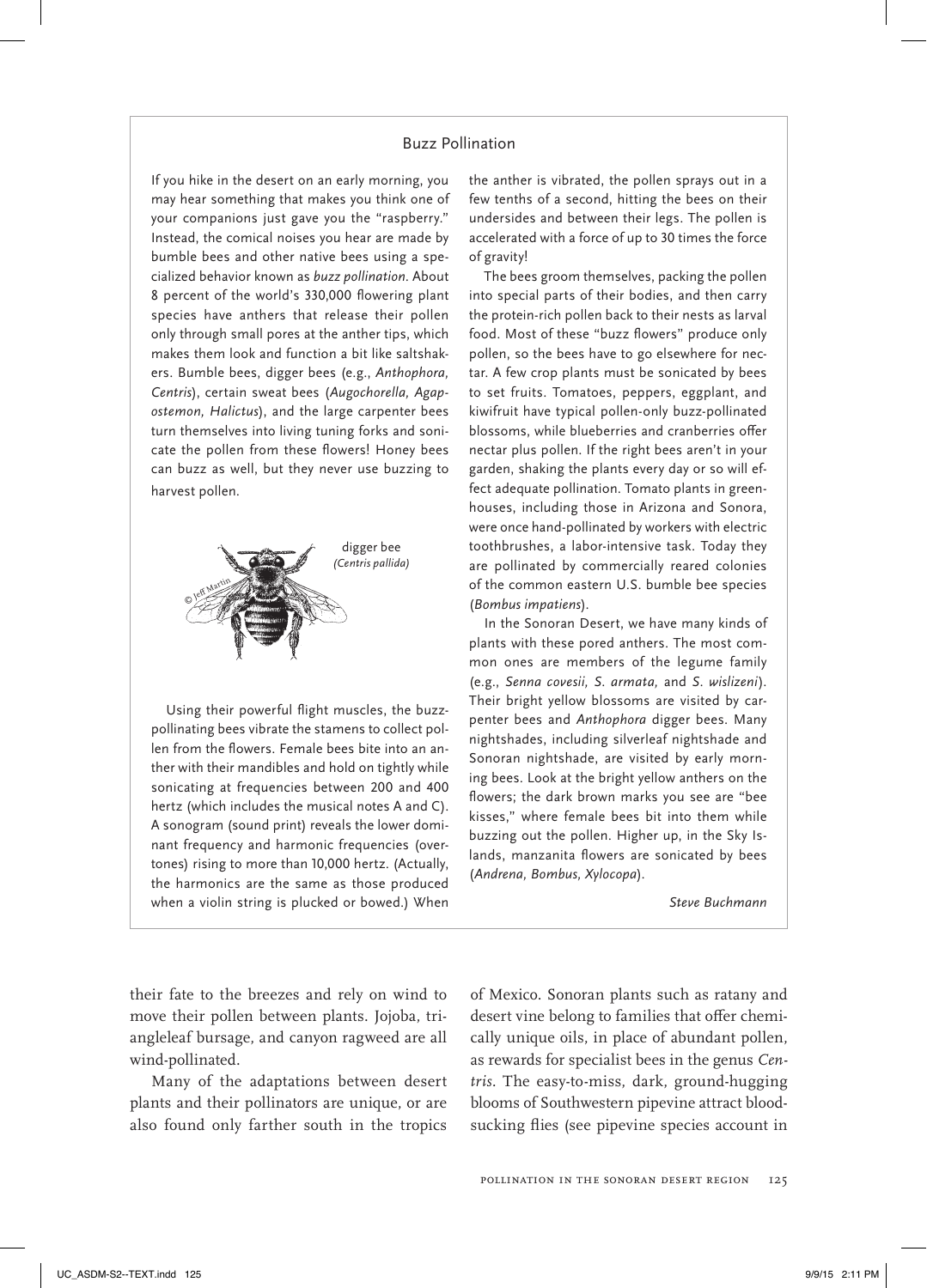## Buzz Pollination

If you hike in the desert on an early morning, you may hear something that makes you think one of your companions just gave you the "raspberry." Instead, the comical noises you hear are made by bumble bees and other native bees using a specialized behavior known as *buzz pollination.* About 8 percent of the world's 330,000 flowering plant species have anthers that release their pollen only through small pores at the anther tips, which makes them look and function a bit like saltshakers. Bumble bees, digger bees (e.g., *Anthophora, Centris*), certain sweat bees (*Augochorella, Agapostemon, Halictus*), and the large carpenter bees turn themselves into living tuning forks and sonicate the pollen from these flowers! Honey bees can buzz as well, but they never use buzzing to harvest pollen.



Using their powerful flight muscles, the buzzpollinating bees vibrate the stamens to collect pollen from the flowers. Female bees bite into an anther with their mandibles and hold on tightly while sonicating at frequencies between 200 and 400 hertz (which includes the musical notes A and C). A sonogram (sound print) reveals the lower dominant frequency and harmonic frequencies (overtones) rising to more than 10,000 hertz. (Actually, the harmonics are the same as those produced when a violin string is plucked or bowed.) When the anther is vibrated, the pollen sprays out in a few tenths of a second, hitting the bees on their undersides and between their legs. The pollen is accelerated with a force of up to 30 times the force of gravity!

The bees groom themselves, packing the pollen into special parts of their bodies, and then carry the protein-rich pollen back to their nests as larval food. Most of these "buzz flowers" produce only pollen, so the bees have to go elsewhere for nectar. A few crop plants must be sonicated by bees to set fruits. Tomatoes, peppers, eggplant, and kiwifruit have typical pollen-only buzz-pollinated blossoms, while blueberries and cranberries offer nectar plus pollen. If the right bees aren't in your garden, shaking the plants every day or so will effect adequate pollination. Tomato plants in greenhouses, including those in Arizona and Sonora, were once hand-pollinated by workers with electric toothbrushes, a labor-intensive task. Today they are pollinated by commercially reared colonies of the common eastern U.S. bumble bee species (*Bombus impatiens*).

In the Sonoran Desert, we have many kinds of plants with these pored anthers. The most common ones are members of the legume family (e.g., *Senna covesii, S. armata,* and *S. wislizeni*). Their bright yellow blossoms are visited by carpenter bees and *Anthophora* digger bees. Many nightshades, including silverleaf nightshade and Sonoran nightshade, are visited by early morning bees. Look at the bright yellow anthers on the flowers; the dark brown marks you see are "bee kisses," where female bees bit into them while buzzing out the pollen. Higher up, in the Sky Islands, manzanita flowers are sonicated by bees (*Andrena, Bombus, Xylocopa*).

*Steve Buchmann*

their fate to the breezes and rely on wind to move their pollen between plants. Jojoba, triangleleaf bursage, and canyon ragweed are all wind-pollinated.

Many of the adaptations between desert plants and their pollinators are unique, or are also found only farther south in the tropics of Mexico. Sonoran plants such as ratany and desert vine belong to families that offer chemically unique oils, in place of abundant pollen, as rewards for specialist bees in the genus *Centris.* The easy-to-miss, dark, ground-hugging blooms of Southwestern pipevine attract bloodsucking flies (see pipevine species account in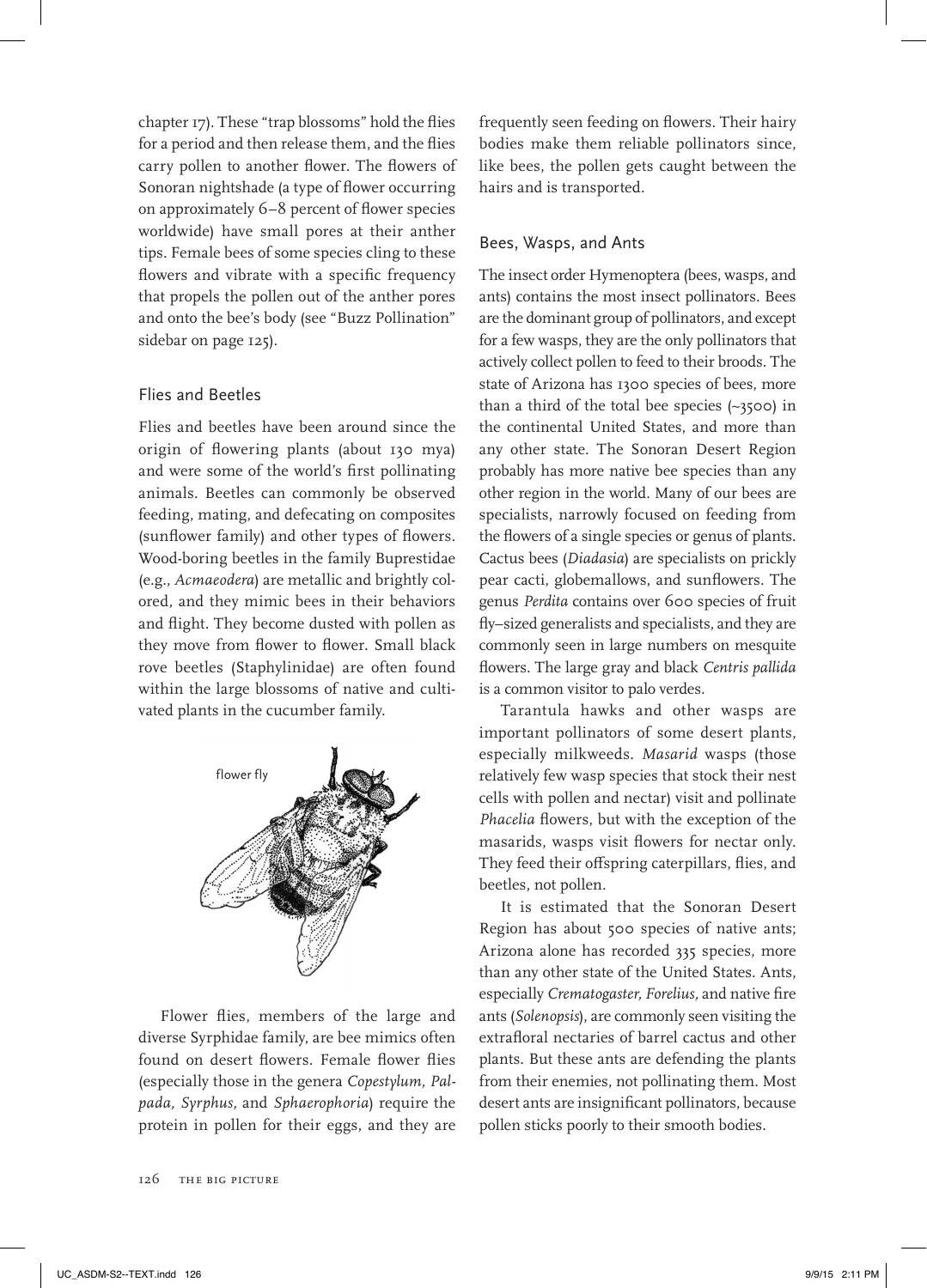chapter 17). These "trap blossoms" hold the flies for a period and then release them, and the flies carry pollen to another flower. The flowers of Sonoran nightshade (a type of flower occurring on approximately 6–8 percent of flower species worldwide) have small pores at their anther tips. Female bees of some species cling to these flowers and vibrate with a specific frequency that propels the pollen out of the anther pores and onto the bee's body (see "Buzz Pollination" sidebar on page 125).

### Flies and Beetles

Flies and beetles have been around since the origin of flowering plants (about 130 mya) and were some of the world's first pollinating animals. Beetles can commonly be observed feeding, mating, and defecating on composites (sunflower family) and other types of flowers. Wood-boring beetles in the family Buprestidae (e.g., *Acmaeodera*) are metallic and brightly colored, and they mimic bees in their behaviors and flight. They become dusted with pollen as they move from flower to flower. Small black rove beetles (Staphylinidae) are often found within the large blossoms of native and cultivated plants in the cucumber family.



Flower flies, members of the large and diverse Syrphidae family, are bee mimics often found on desert flowers. Female flower flies (especially those in the genera *Copestylum, Palpada, Syrphus,* and *Sphaerophoria*) require the protein in pollen for their eggs, and they are

126 The Big Picture

frequently seen feeding on flowers. Their hairy bodies make them reliable pollinators since, like bees, the pollen gets caught between the hairs and is transported.

#### Bees, Wasps, and Ants

The insect order Hymenoptera (bees, wasps, and ants) contains the most insect pollinators. Bees are the dominant group of pollinators, and except for a few wasps, they are the only pollinators that actively collect pollen to feed to their broods. The state of Arizona has 1300 species of bees, more than a third of the total bee species (~3500) in the continental United States, and more than any other state. The Sonoran Desert Region probably has more native bee species than any other region in the world. Many of our bees are specialists, narrowly focused on feeding from the flowers of a single species or genus of plants. Cactus bees (*Diadasia*) are specialists on prickly pear cacti, globemallows, and sunflowers. The genus *Perdita* contains over 600 species of fruit fly–sized generalists and specialists, and they are commonly seen in large numbers on mesquite flowers. The large gray and black *Centris pallida* is a common visitor to palo verdes.

Tarantula hawks and other wasps are important pollinators of some desert plants, especially milkweeds. *Masarid* wasps (those relatively few wasp species that stock their nest cells with pollen and nectar) visit and pollinate Phacelia flowers, but with the exception of the masarids, wasps visit flowers for nectar only. They feed their offspring caterpillars, flies, and beetles, not pollen.

It is estimated that the Sonoran Desert Region has about 500 species of native ants; Arizona alone has recorded 335 species, more than any other state of the United States. Ants, especially *Crematogaster, Forelius,* and native fire ants (*Solenopsis*), are commonly seen visiting the extrafloral nectaries of barrel cactus and other plants. But these ants are defending the plants from their enemies, not pollinating them. Most desert ants are insignificant pollinators, because pollen sticks poorly to their smooth bodies.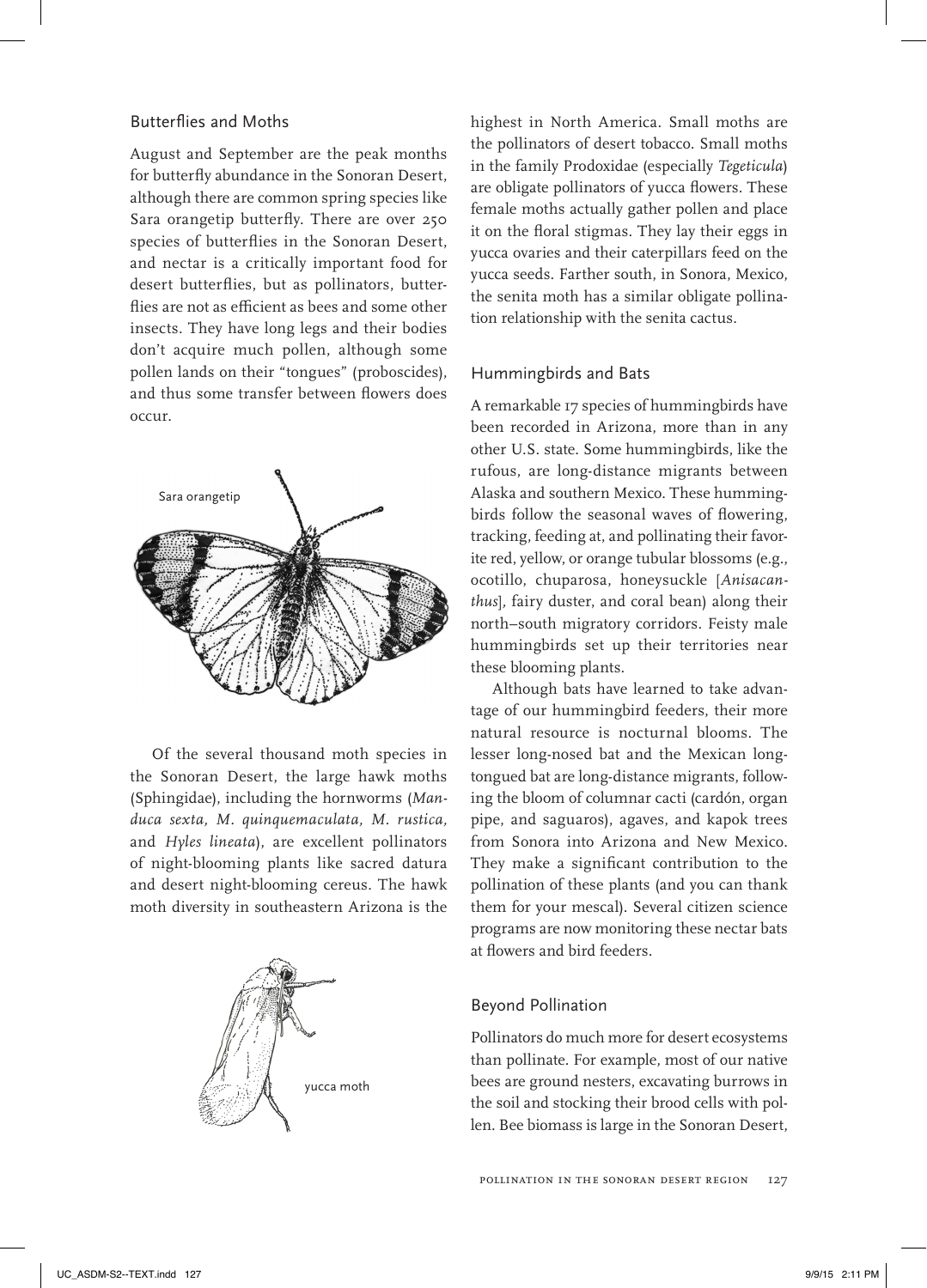## Butterflies and Moths

August and September are the peak months for butterfly abundance in the Sonoran Desert, although there are common spring species like Sara orangetip butterfly. There are over 250 species of butterflies in the Sonoran Desert, and nectar is a critically important food for desert butterflies, but as pollinators, butterflies are not as efficient as bees and some other insects. They have long legs and their bodies don't acquire much pollen, although some pollen lands on their "tongues" (proboscides), and thus some transfer between flowers does occur.



Of the several thousand moth species in the Sonoran Desert, the large hawk moths (Sphingidae), including the hornworms (*Manduca sexta, M. quinquemaculata, M. rustica,* and *Hyles lineata*), are excellent pollinators of night-blooming plants like sacred datura and desert night-blooming cereus. The hawk moth diversity in southeastern Arizona is the



highest in North America. Small moths are the pollinators of desert tobacco. Small moths in the family Prodoxidae (especially *Tegeticula*) are obligate pollinators of yucca flowers. These female moths actually gather pollen and place it on the floral stigmas. They lay their eggs in yucca ovaries and their caterpillars feed on the yucca seeds. Farther south, in Sonora, Mexico, the senita moth has a similar obligate pollination relationship with the senita cactus.

## Hummingbirds and Bats

A remarkable 17 species of hummingbirds have been recorded in Arizona, more than in any other U.S. state. Some hummingbirds, like the rufous, are long-distance migrants between Alaska and southern Mexico. These hummingbirds follow the seasonal waves of flowering, tracking, feeding at, and pollinating their favorite red, yellow, or orange tubular blossoms (e.g., ocotillo, chuparosa, honeysuckle [*Anisacanthus*]*,* fairy duster, and coral bean) along their north–south migratory corridors. Feisty male hummingbirds set up their territories near these blooming plants.

Although bats have learned to take advantage of our hummingbird feeders, their more natural resource is nocturnal blooms. The lesser long-nosed bat and the Mexican longtongued bat are long-distance migrants, following the bloom of columnar cacti (cardón, organ pipe, and saguaros), agaves, and kapok trees from Sonora into Arizona and New Mexico. They make a significant contribution to the pollination of these plants (and you can thank them for your mescal). Several citizen science programs are now monitoring these nectar bats at flowers and bird feeders.

## Beyond Pollination

Pollinators do much more for desert ecosystems than pollinate. For example, most of our native bees are ground nesters, excavating burrows in the soil and stocking their brood cells with pollen. Bee biomass is large in the Sonoran Desert,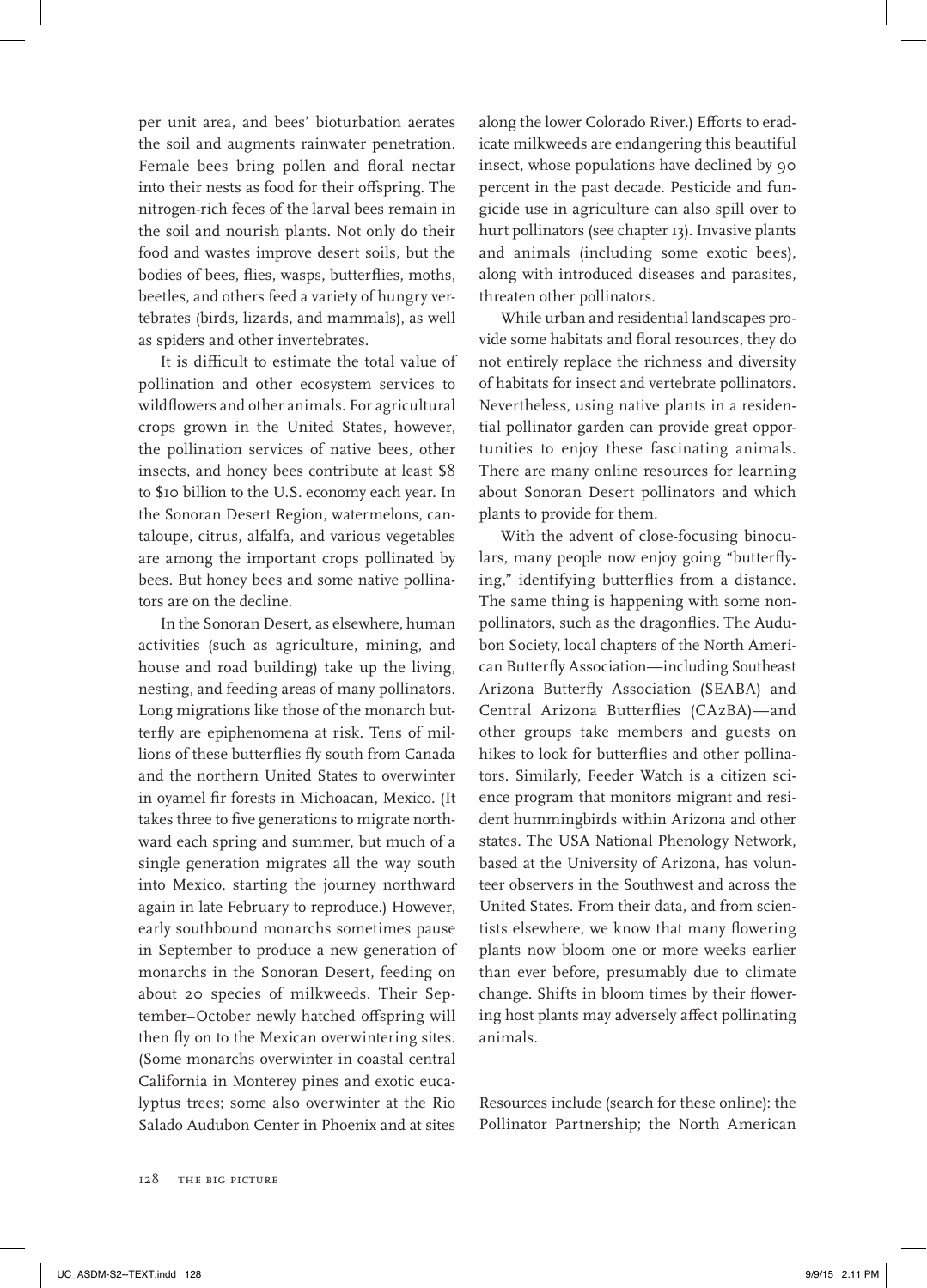per unit area, and bees' bioturbation aerates the soil and augments rainwater penetration. Female bees bring pollen and floral nectar into their nests as food for their offspring. The nitrogen-rich feces of the larval bees remain in the soil and nourish plants. Not only do their food and wastes improve desert soils, but the bodies of bees, flies, wasps, butterflies, moths, beetles, and others feed a variety of hungry vertebrates (birds, lizards, and mammals), as well as spiders and other invertebrates.

It is difficult to estimate the total value of pollination and other ecosystem services to wildflowers and other animals. For agricultural crops grown in the United States, however, the pollination services of native bees, other insects, and honey bees contribute at least \$8 to \$10 billion to the U.S. economy each year. In the Sonoran Desert Region, watermelons, cantaloupe, citrus, alfalfa, and various vegetables are among the important crops pollinated by bees. But honey bees and some native pollinators are on the decline.

In the Sonoran Desert, as elsewhere, human activities (such as agriculture, mining, and house and road building) take up the living, nesting, and feeding areas of many pollinators. Long migrations like those of the monarch butterfly are epiphenomena at risk. Tens of millions of these butterflies fly south from Canada and the northern United States to overwinter in oyamel fir forests in Michoacan, Mexico. (It takes three to five generations to migrate northward each spring and summer, but much of a single generation migrates all the way south into Mexico, starting the journey northward again in late February to reproduce.) However, early southbound monarchs sometimes pause in September to produce a new generation of monarchs in the Sonoran Desert, feeding on about 20 species of milkweeds. Their September–October newly hatched offspring will then fly on to the Mexican overwintering sites. (Some monarchs overwinter in coastal central California in Monterey pines and exotic eucalyptus trees; some also overwinter at the Rio Salado Audubon Center in Phoenix and at sites

along the lower Colorado River.) Efforts to eradicate milkweeds are endangering this beautiful insect, whose populations have declined by 90 percent in the past decade. Pesticide and fungicide use in agriculture can also spill over to hurt pollinators (see chapter 13). Invasive plants and animals (including some exotic bees), along with introduced diseases and parasites, threaten other pollinators.

While urban and residential landscapes provide some habitats and floral resources, they do not entirely replace the richness and diversity of habitats for insect and vertebrate pollinators. Nevertheless, using native plants in a residential pollinator garden can provide great opportunities to enjoy these fascinating animals. There are many online resources for learning about Sonoran Desert pollinators and which plants to provide for them.

With the advent of close-focusing binoculars, many people now enjoy going "butterflying," identifying butterflies from a distance. The same thing is happening with some nonpollinators, such as the dragonflies. The Audubon Society, local chapters of the North American Butterfly Association—including Southeast Arizona Butterfly Association (SEABA) and Central Arizona Butterflies (CAzBA)—and other groups take members and guests on hikes to look for butterflies and other pollinators. Similarly, Feeder Watch is a citizen science program that monitors migrant and resident hummingbirds within Arizona and other states. The USA National Phenology Network, based at the University of Arizona, has volunteer observers in the Southwest and across the United States. From their data, and from scientists elsewhere, we know that many flowering plants now bloom one or more weeks earlier than ever before, presumably due to climate change. Shifts in bloom times by their flowering host plants may adversely affect pollinating animals.

Resources include (search for these online): the Pollinator Partnership; the North American